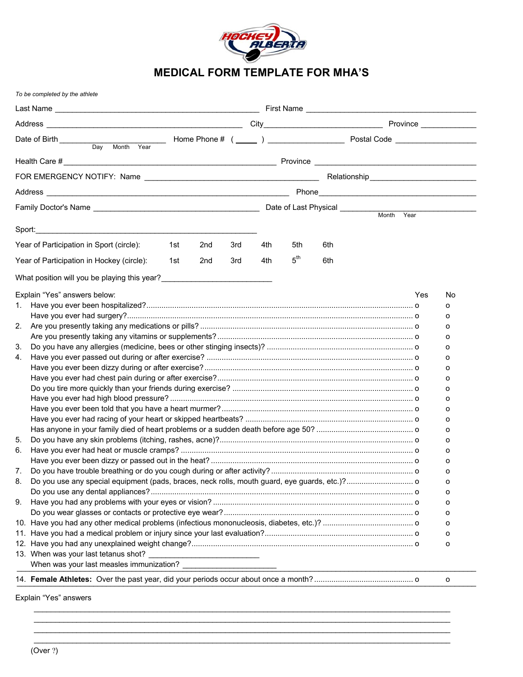

## **MEDICAL FORM TEMPLATE FOR MHA'S**

|                                                         |  |     |     |                 |     | Year |     |  |
|---------------------------------------------------------|--|-----|-----|-----------------|-----|------|-----|--|
|                                                         |  |     |     |                 |     |      |     |  |
| Year of Participation in Sport (circle):<br>1st<br>2nd  |  | 3rd | 4th | 5th             | 6th |      |     |  |
| Year of Participation in Hockey (circle):<br>1st<br>2nd |  | 3rd | 4th | $5^{\text{th}}$ | 6th |      |     |  |
|                                                         |  |     |     |                 |     |      |     |  |
| What position will you be playing this year?            |  |     |     |                 |     |      |     |  |
| Explain "Yes" answers below:                            |  |     |     |                 |     | Yes  | No. |  |
| 1.                                                      |  |     |     |                 |     |      | 0   |  |
|                                                         |  |     |     |                 |     |      | 0   |  |
| 2.                                                      |  |     |     |                 |     |      | 0   |  |
|                                                         |  |     |     |                 |     |      | 0   |  |
|                                                         |  |     |     |                 |     |      | 0   |  |
|                                                         |  |     |     |                 |     |      | 0   |  |
|                                                         |  |     |     |                 |     |      | 0   |  |
|                                                         |  |     |     |                 |     |      | 0   |  |
|                                                         |  |     |     |                 |     |      | 0   |  |
|                                                         |  |     |     |                 |     |      | 0   |  |
|                                                         |  |     |     |                 |     |      | 0   |  |
|                                                         |  |     |     |                 |     |      | 0   |  |
|                                                         |  |     |     |                 |     |      | 0   |  |
|                                                         |  |     |     |                 |     |      | 0   |  |
|                                                         |  |     |     |                 |     |      | 0   |  |
|                                                         |  |     |     |                 |     |      | 0   |  |
|                                                         |  |     |     |                 |     |      | O   |  |
|                                                         |  |     |     |                 |     |      | о   |  |
|                                                         |  |     |     |                 |     |      | о   |  |
|                                                         |  |     |     |                 |     |      | 0   |  |
|                                                         |  |     |     |                 |     |      | 0   |  |
|                                                         |  |     |     |                 |     |      | о   |  |
|                                                         |  |     |     |                 |     |      | о   |  |
|                                                         |  |     |     |                 |     |      | о   |  |
|                                                         |  |     |     |                 |     |      |     |  |
|                                                         |  |     |     |                 |     |      | o   |  |
|                                                         |  |     |     |                 |     |      |     |  |

 $\mathcal{L}=\mathcal{L}=\mathcal{L}=\mathcal{L}=\mathcal{L}=\mathcal{L}=\mathcal{L}=\mathcal{L}=\mathcal{L}=\mathcal{L}=\mathcal{L}=\mathcal{L}=\mathcal{L}=\mathcal{L}=\mathcal{L}=\mathcal{L}=\mathcal{L}=\mathcal{L}=\mathcal{L}=\mathcal{L}=\mathcal{L}=\mathcal{L}=\mathcal{L}=\mathcal{L}=\mathcal{L}=\mathcal{L}=\mathcal{L}=\mathcal{L}=\mathcal{L}=\mathcal{L}=\mathcal{L}=\mathcal{L}=\mathcal{L}=\mathcal{L}=\mathcal{L}=\mathcal{L}=\mathcal{$  $\mathcal{L}=\mathcal{L}=\mathcal{L}=\mathcal{L}=\mathcal{L}=\mathcal{L}=\mathcal{L}=\mathcal{L}=\mathcal{L}=\mathcal{L}=\mathcal{L}=\mathcal{L}=\mathcal{L}=\mathcal{L}=\mathcal{L}=\mathcal{L}=\mathcal{L}=\mathcal{L}=\mathcal{L}=\mathcal{L}=\mathcal{L}=\mathcal{L}=\mathcal{L}=\mathcal{L}=\mathcal{L}=\mathcal{L}=\mathcal{L}=\mathcal{L}=\mathcal{L}=\mathcal{L}=\mathcal{L}=\mathcal{L}=\mathcal{L}=\mathcal{L}=\mathcal{L}=\mathcal{L}=\mathcal{$  $\mathcal{L}=\mathcal{L}=\mathcal{L}=\mathcal{L}=\mathcal{L}=\mathcal{L}=\mathcal{L}=\mathcal{L}=\mathcal{L}=\mathcal{L}=\mathcal{L}=\mathcal{L}=\mathcal{L}=\mathcal{L}=\mathcal{L}=\mathcal{L}=\mathcal{L}=\mathcal{L}=\mathcal{L}=\mathcal{L}=\mathcal{L}=\mathcal{L}=\mathcal{L}=\mathcal{L}=\mathcal{L}=\mathcal{L}=\mathcal{L}=\mathcal{L}=\mathcal{L}=\mathcal{L}=\mathcal{L}=\mathcal{L}=\mathcal{L}=\mathcal{L}=\mathcal{L}=\mathcal{L}=\mathcal{$